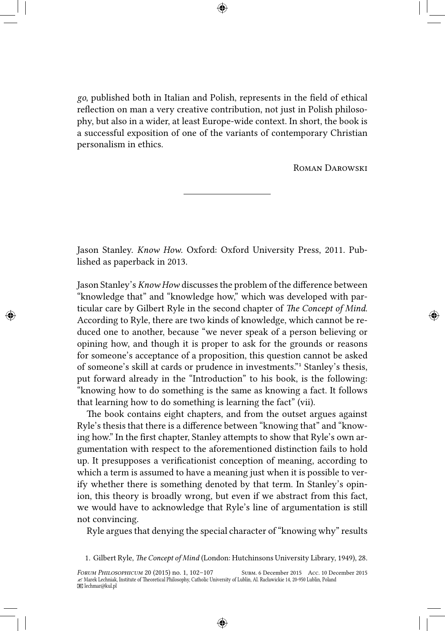*go*, published both in Italian and Polish, represents in the field of ethical reflection on man a very creative contribution, not just in Polish philosophy, but also in a wider, at least Europe-wide context. In short, the book is a successful exposition of one of the variants of contemporary Christian personalism in ethics.

Roman Darowski

Jason Stanley. *Know How*. Oxford: Oxford University Press, 2011. Published as paperback in 2013.

Jason Stanley's *Know How* discusses the problem of the difference between "knowledge that" and "knowledge how," which was developed with particular care by Gilbert Ryle in the second chapter of *The Concept of Mind*. According to Ryle, there are two kinds of knowledge, which cannot be reduced one to another, because "we never speak of a person believing or opining how, and though it is proper to ask for the grounds or reasons for someone's acceptance of a proposition, this question cannot be asked of someone's skill at cards or prudence in investments."<sup>1</sup> Stanley's thesis, put forward already in the "Introduction" to his book, is the following: "knowing how to do something is the same as knowing a fact. It follows that learning how to do something is learning the fact" (vii).

The book contains eight chapters, and from the outset argues against Ryle's thesis that there is a difference between "knowing that" and "knowing how." In the first chapter, Stanley attempts to show that Ryle's own argumentation with respect to the aforementioned distinction fails to hold up. It presupposes a verificationist conception of meaning, according to which a term is assumed to have a meaning just when it is possible to verify whether there is something denoted by that term. In Stanley's opinion, this theory is broadly wrong, but even if we abstract from this fact, we would have to acknowledge that Ryle's line of argumentation is still not convincing.

Ryle argues that denying the special character of "knowing why" results

<sup>1.</sup> Gilbert Ryle, *The Concept of Mind* (London: Hutchinsons University Library, 1949), 28.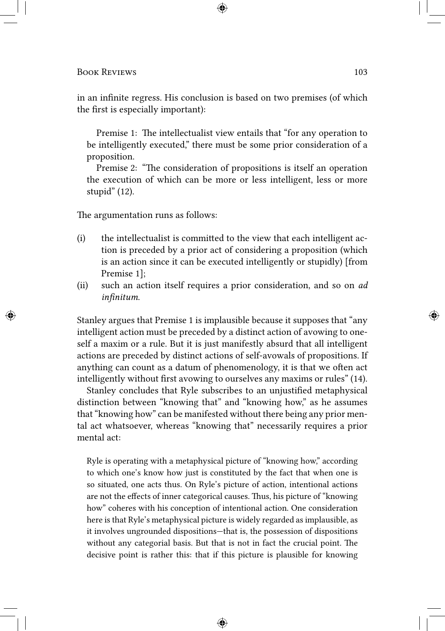in an infinite regress. His conclusion is based on two premises (of which the first is especially important):

Premise 1: The intellectualist view entails that "for any operation to be intelligently executed," there must be some prior consideration of a proposition.

Premise 2: "The consideration of propositions is itself an operation the execution of which can be more or less intelligent, less or more stupid" (12).

The argumentation runs as follows:

- (i) the intellectualist is committed to the view that each intelligent action is preceded by a prior act of considering a proposition (which is an action since it can be executed intelligently or stupidly) [from Premise 1];
- (ii) such an action itself requires a prior consideration, and so on *ad infinitum*.

Stanley argues that Premise 1 is implausible because it supposes that "any intelligent action must be preceded by a distinct action of avowing to oneself a maxim or a rule. But it is just manifestly absurd that all intelligent actions are preceded by distinct actions of self-avowals of propositions. If anything can count as a datum of phenomenology, it is that we often act intelligently without first avowing to ourselves any maxims or rules" (14).

Stanley concludes that Ryle subscribes to an unjustified metaphysical distinction between "knowing that" and "knowing how," as he assumes that "knowing how" can be manifested without there being any prior mental act whatsoever, whereas "knowing that" necessarily requires a prior mental act:

Ryle is operating with a metaphysical picture of "knowing how," according to which one's know how just is constituted by the fact that when one is so situated, one acts thus. On Ryle's picture of action, intentional actions are not the effects of inner categorical causes. Thus, his picture of "knowing how" coheres with his conception of intentional action. One consideration here is that Ryle's metaphysical picture is widely regarded as implausible, as it involves ungrounded dispositions—that is, the possession of dispositions without any categorial basis. But that is not in fact the crucial point. The decisive point is rather this: that if this picture is plausible for knowing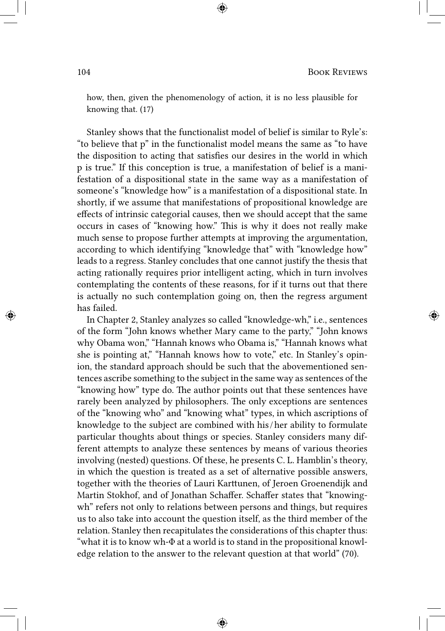how, then, given the phenomenology of action, it is no less plausible for knowing that. (17)

Stanley shows that the functionalist model of belief is similar to Ryle's: "to believe that p" in the functionalist model means the same as "to have the disposition to acting that satisfies our desires in the world in which p is true." If this conception is true, a manifestation of belief is a manifestation of a dispositional state in the same way as a manifestation of someone's "knowledge how" is a manifestation of a dispositional state. In shortly, if we assume that manifestations of propositional knowledge are effects of intrinsic categorial causes, then we should accept that the same occurs in cases of "knowing how." This is why it does not really make much sense to propose further attempts at improving the argumentation, according to which identifying "knowledge that" with "knowledge how" leads to a regress. Stanley concludes that one cannot justify the thesis that acting rationally requires prior intelligent acting, which in turn involves contemplating the contents of these reasons, for if it turns out that there is actually no such contemplation going on, then the regress argument has failed.

In Chapter 2, Stanley analyzes so called "knowledge-wh," i.e., sentences of the form "John knows whether Mary came to the party," "John knows why Obama won," "Hannah knows who Obama is," "Hannah knows what she is pointing at," "Hannah knows how to vote," etc. In Stanley's opinion, the standard approach should be such that the abovementioned sentences ascribe something to the subject in the same way as sentences of the "knowing how" type do. The author points out that these sentences have rarely been analyzed by philosophers. The only exceptions are sentences of the "knowing who" and "knowing what" types, in which ascriptions of knowledge to the subject are combined with his / her ability to formulate particular thoughts about things or species. Stanley considers many different attempts to analyze these sentences by means of various theories involving (nested) questions. Of these, he presents C. L. Hamblin's theory, in which the question is treated as a set of alternative possible answers, together with the theories of Lauri Karttunen, of Jeroen Groenendijk and Martin Stokhof, and of Jonathan Schaffer. Schaffer states that "knowingwh" refers not only to relations between persons and things, but requires us to also take into account the question itself, as the third member of the relation. Stanley then recapitulates the considerations of this chapter thus: "what it is to know wh-Φ at a world is to stand in the propositional knowledge relation to the answer to the relevant question at that world" (70).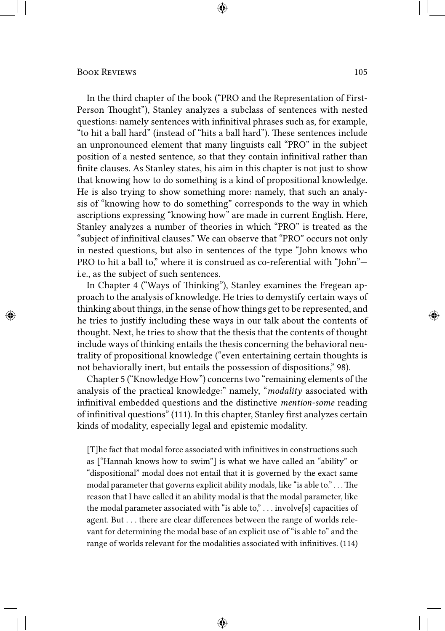In the third chapter of the book ("PRO and the Representation of First-Person Thought"), Stanley analyzes a subclass of sentences with nested questions: namely sentences with infinitival phrases such as, for example, "to hit a ball hard" (instead of "hits a ball hard"). These sentences include an unpronounced element that many linguists call "PRO" in the subject position of a nested sentence, so that they contain infinitival rather than finite clauses. As Stanley states, his aim in this chapter is not just to show that knowing how to do something is a kind of propositional knowledge. He is also trying to show something more: namely, that such an analysis of "knowing how to do something" corresponds to the way in which ascriptions expressing "knowing how" are made in current English. Here, Stanley analyzes a number of theories in which "PRO" is treated as the "subject of infinitival clauses." We can observe that "PRO" occurs not only in nested questions, but also in sentences of the type "John knows who PRO to hit a ball to," where it is construed as co-referential with "John" i.e., as the subject of such sentences.

In Chapter 4 ("Ways of Thinking"), Stanley examines the Fregean approach to the analysis of knowledge. He tries to demystify certain ways of thinking about things, in the sense of how things get to be represented, and he tries to justify including these ways in our talk about the contents of thought. Next, he tries to show that the thesis that the contents of thought include ways of thinking entails the thesis concerning the behavioral neutrality of propositional knowledge ("even entertaining certain thoughts is not behaviorally inert, but entails the possession of dispositions," 98).

Chapter 5 ("Knowledge How") concerns two "remaining elements of the analysis of the practical knowledge:" namely, "*modality* associated with infinitival embedded questions and the distinctive *mention-some* reading of infinitival questions" (111). In this chapter, Stanley first analyzes certain kinds of modality, especially legal and epistemic modality.

[T]he fact that modal force associated with infinitives in constructions such as ["Hannah knows how to swim"] is what we have called an "ability" or "dispositional" modal does not entail that it is governed by the exact same modal parameter that governs explicit ability modals, like "is able to." . . . The reason that I have called it an ability modal is that the modal parameter, like the modal parameter associated with "is able to,"  $\dots$  involve[s] capacities of agent. But . . . there are clear differences between the range of worlds relevant for determining the modal base of an explicit use of "is able to" and the range of worlds relevant for the modalities associated with infinitives. (114)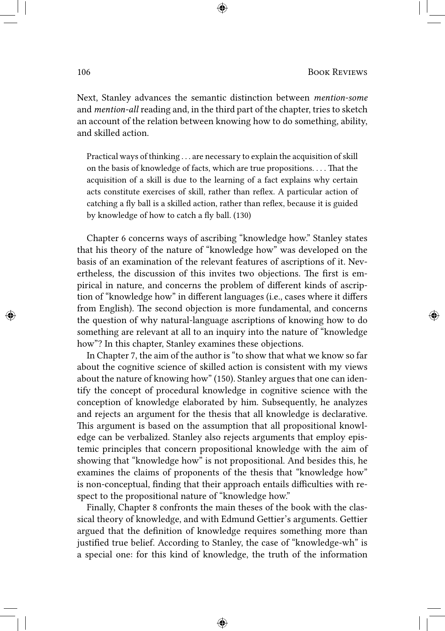Next, Stanley advances the semantic distinction between *mention-some* and *mention-all* reading and, in the third part of the chapter, tries to sketch an account of the relation between knowing how to do something, ability, and skilled action.

Practical ways of thinking . . . are necessary to explain the acquisition of skill on the basis of knowledge of facts, which are true propositions. . . . That the acquisition of a skill is due to the learning of a fact explains why certain acts constitute exercises of skill, rather than reflex. A particular action of catching a fly ball is a skilled action, rather than reflex, because it is guided by knowledge of how to catch a fly ball. (130)

Chapter 6 concerns ways of ascribing "knowledge how." Stanley states that his theory of the nature of "knowledge how" was developed on the basis of an examination of the relevant features of ascriptions of it. Nevertheless, the discussion of this invites two objections. The first is empirical in nature, and concerns the problem of different kinds of ascription of "knowledge how" in different languages (i.e., cases where it differs from English). The second objection is more fundamental, and concerns the question of why natural-language ascriptions of knowing how to do something are relevant at all to an inquiry into the nature of "knowledge how"? In this chapter, Stanley examines these objections.

In Chapter 7, the aim of the author is "to show that what we know so far about the cognitive science of skilled action is consistent with my views about the nature of knowing how" (150). Stanley argues that one can identify the concept of procedural knowledge in cognitive science with the conception of knowledge elaborated by him. Subsequently, he analyzes and rejects an argument for the thesis that all knowledge is declarative. This argument is based on the assumption that all propositional knowledge can be verbalized. Stanley also rejects arguments that employ epistemic principles that concern propositional knowledge with the aim of showing that "knowledge how" is not propositional. And besides this, he examines the claims of proponents of the thesis that "knowledge how" is non-conceptual, finding that their approach entails difficulties with respect to the propositional nature of "knowledge how."

Finally, Chapter 8 confronts the main theses of the book with the classical theory of knowledge, and with Edmund Gettier's arguments. Gettier argued that the definition of knowledge requires something more than justified true belief. According to Stanley, the case of "knowledge-wh" is a special one: for this kind of knowledge, the truth of the information